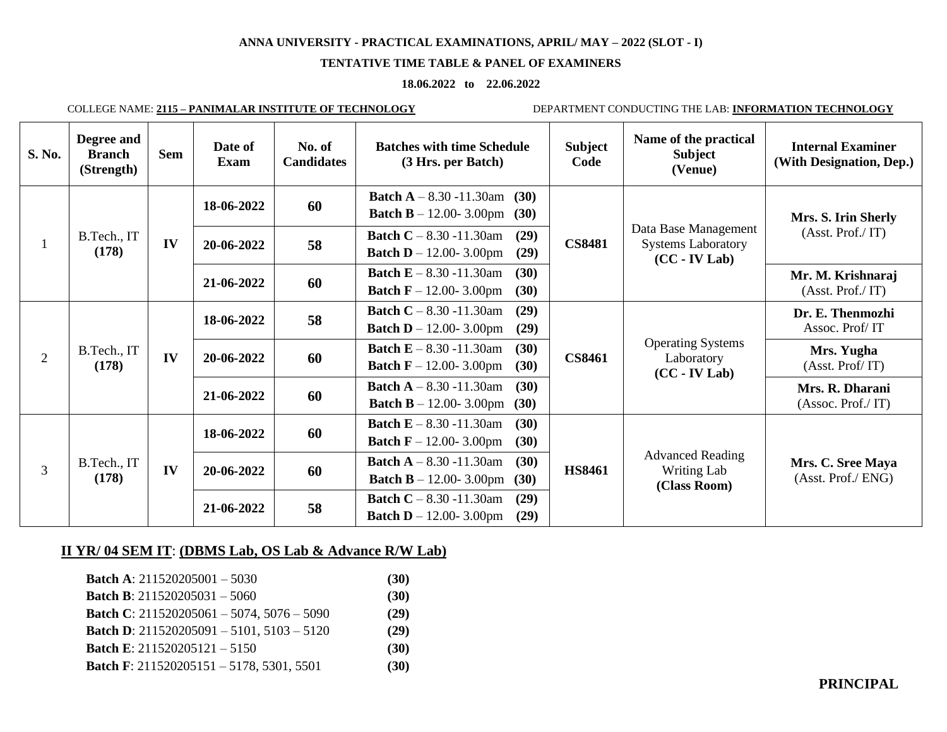### **TENTATIVE TIME TABLE & PANEL OF EXAMINERS**

### **18.06.2022 to 22.06.2022**

COLLEGE NAME: **2115 – PANIMALAR INSTITUTE OF TECHNOLOGY** DEPARTMENT CONDUCTING THE LAB: **INFORMATION TECHNOLOGY**

| S. No.         | Degree and<br><b>Branch</b><br>(Strength) | <b>Sem</b> | Date of<br>Exam | No. of<br><b>Candidates</b> | <b>Batches with time Schedule</b><br>(3 Hrs. per Batch)                                         | <b>Subject</b><br>Code                                                                   | Name of the practical<br><b>Subject</b><br>(Venue)                   | <b>Internal Examiner</b><br>(With Designation, Dep.) |            |    |                                                                                                 |               |                                                           |                               |
|----------------|-------------------------------------------|------------|-----------------|-----------------------------|-------------------------------------------------------------------------------------------------|------------------------------------------------------------------------------------------|----------------------------------------------------------------------|------------------------------------------------------|------------|----|-------------------------------------------------------------------------------------------------|---------------|-----------------------------------------------------------|-------------------------------|
|                | B.Tech., IT<br>(178)                      | IV         | 18-06-2022      | 60                          | <b>Batch A</b> $- 8.30 - 11.30$ am<br>(30)<br><b>Batch B</b> $- 12.00 - 3.00$ pm<br>(30)        | <b>CS8481</b>                                                                            | Data Base Management<br><b>Systems Laboratory</b><br>$(CC - IV Lab)$ | Mrs. S. Irin Sherly<br>(Asst. Prof./ IT)             |            |    |                                                                                                 |               |                                                           |                               |
|                |                                           |            | 20-06-2022      | 58                          | <b>Batch C</b> $- 8.30 - 11.30$ am<br>(29)<br>(29)<br><b>Batch D</b> $- 12.00 - 3.00 \text{pm}$ |                                                                                          |                                                                      |                                                      |            |    |                                                                                                 |               |                                                           |                               |
|                |                                           |            | 21-06-2022      | 60                          | <b>Batch E</b> $- 8.30 - 11.30$ am<br>(30)<br><b>Batch F</b> $- 12.00 - 3.00$ pm<br>(30)        |                                                                                          |                                                                      | Mr. M. Krishnaraj<br>(Asst. Prof./ IT)               |            |    |                                                                                                 |               |                                                           |                               |
|                | B.Tech., IT<br>(178)                      | IV         | 18-06-2022      | 58                          | <b>Batch C</b> $- 8.30 - 11.30$ am<br>(29)<br><b>Batch D</b> $- 12.00 - 3.00$ pm<br>(29)        |                                                                                          |                                                                      | Dr. E. Thenmozhi<br>Assoc. Prof/IT                   |            |    |                                                                                                 |               |                                                           |                               |
| $\overline{2}$ |                                           |            |                 |                             |                                                                                                 |                                                                                          |                                                                      |                                                      | 20-06-2022 | 60 | <b>Batch E</b> $- 8.30 - 11.30$ am<br>(30)<br><b>Batch F</b> $- 12.00 - 3.00 \text{pm}$<br>(30) | <b>CS8461</b> | <b>Operating Systems</b><br>Laboratory<br>$(CC - IV Lab)$ | Mrs. Yugha<br>(Asst. Prof/IT) |
|                |                                           |            | 21-06-2022      | 60                          | <b>Batch A</b> $- 8.30 - 11.30$ am<br>(30)<br><b>Batch B</b> $- 12.00 - 3.00 \text{pm}$<br>(30) |                                                                                          |                                                                      | Mrs. R. Dharani<br>(Assoc. Prof./ IT)                |            |    |                                                                                                 |               |                                                           |                               |
|                |                                           |            | 18-06-2022      | 60                          | <b>Batch E</b> $- 8.30 - 11.30$ am<br>(30)<br><b>Batch F</b> $- 12.00 - 3.00$ pm<br>(30)        |                                                                                          |                                                                      |                                                      |            |    |                                                                                                 |               |                                                           |                               |
| 3              | B.Tech., IT<br>(178)                      | IV         | 20-06-2022      | 60                          | <b>Batch A</b> $- 8.30 - 11.30$ am<br>(30)<br>(30)<br><b>Batch B</b> $- 12.00 - 3.00 \text{pm}$ | <b>HS8461</b>                                                                            | <b>Advanced Reading</b><br>Writing Lab<br>(Class Room)               | Mrs. C. Sree Maya<br>(Asst. Prof./ ENG)              |            |    |                                                                                                 |               |                                                           |                               |
|                |                                           |            |                 | 21-06-2022                  | 58                                                                                              | <b>Batch C</b> $- 8.30 - 11.30$ am<br>(29)<br><b>Batch D</b> $- 12.00 - 3.00$ pm<br>(29) |                                                                      |                                                      |            |    |                                                                                                 |               |                                                           |                               |

# **II YR/ 04 SEM IT**: **(DBMS Lab, OS Lab & Advance R/W Lab)**

| <b>Batch A:</b> $211520205001 - 5030$                  | (30) |
|--------------------------------------------------------|------|
| <b>Batch B</b> : $211520205031 - 5060$                 | (30) |
| <b>Batch C</b> : $211520205061 - 5074$ , $5076 - 5090$ | (29) |
| <b>Batch D:</b> 211520205091 - 5101, 5103 - 5120       | (29) |
| <b>Batch E:</b> $211520205121 - 5150$                  | (30) |
| <b>Batch F:</b> 211520205151 - 5178, 5301, 5501        | (30) |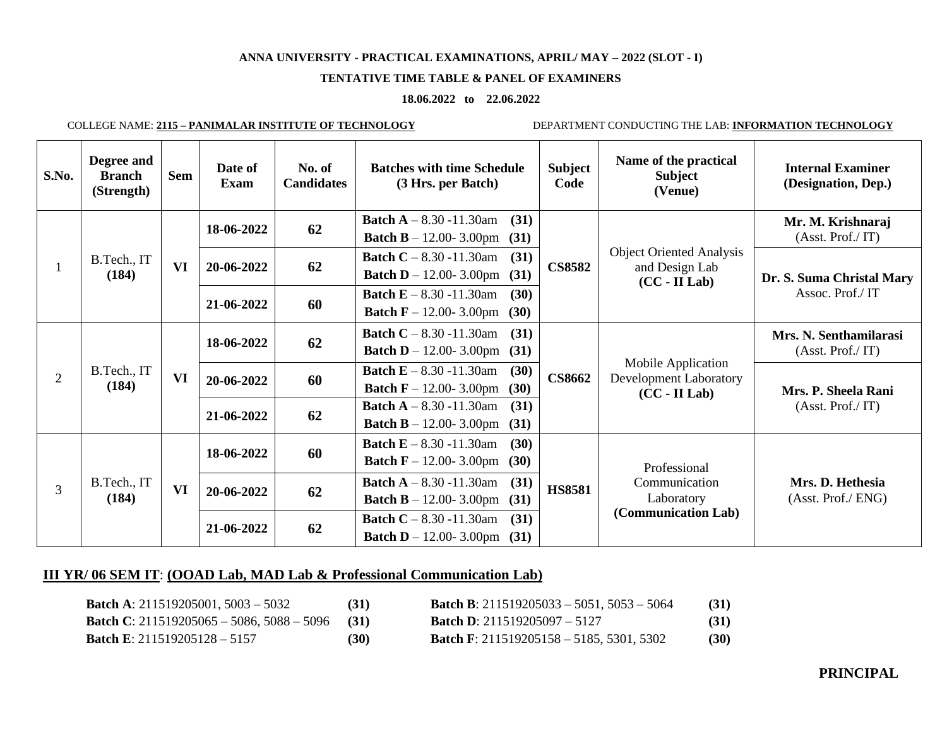## **TENTATIVE TIME TABLE & PANEL OF EXAMINERS**

### **18.06.2022 to 22.06.2022**

COLLEGE NAME: **2115 – PANIMALAR INSTITUTE OF TECHNOLOGY** DEPARTMENT CONDUCTING THE LAB: **INFORMATION TECHNOLOGY**

| S.No. | Degree and<br><b>Branch</b><br>(Strength)                                                                                                                                                                                                                                                                                                                                    | <b>Sem</b>   | Date of<br>Exam | No. of<br><b>Candidates</b> | <b>Batches with time Schedule</b><br>(3 Hrs. per Batch)                                  | <b>Subject</b><br>Code | Name of the practical<br><b>Subject</b><br>(Venue)                   | <b>Internal Examiner</b><br>(Designation, Dep.) |
|-------|------------------------------------------------------------------------------------------------------------------------------------------------------------------------------------------------------------------------------------------------------------------------------------------------------------------------------------------------------------------------------|--------------|-----------------|-----------------------------|------------------------------------------------------------------------------------------|------------------------|----------------------------------------------------------------------|-------------------------------------------------|
|       | B.Tech., IT<br>(184)                                                                                                                                                                                                                                                                                                                                                         | VI           | 18-06-2022      | 62                          | <b>Batch A</b> $- 8.30 - 11.30$ am<br>(31)<br><b>Batch B</b> – 12.00-3.00pm (31)         |                        | <b>Object Oriented Analysis</b><br>and Design Lab<br>$(CC - II Lab)$ | Mr. M. Krishnaraj<br>(Asst. Prof./ IT)          |
|       |                                                                                                                                                                                                                                                                                                                                                                              |              | 20-06-2022      | 62                          | <b>Batch C</b> – 8.30 -11.30am<br>(31)<br><b>Batch D</b> – 12.00-3.00pm (31)             | <b>CS8582</b>          |                                                                      | Dr. S. Suma Christal Mary<br>Assoc. Prof./IT    |
|       |                                                                                                                                                                                                                                                                                                                                                                              |              | 21-06-2022      | 60                          | <b>Batch E</b> $- 8.30 - 11.30$ am<br>(30)<br><b>Batch F</b> $- 12.00 - 3.00$ pm<br>(30) |                        |                                                                      |                                                 |
|       | B.Tech., IT<br>(184)                                                                                                                                                                                                                                                                                                                                                         | VI           | 18-06-2022      | 62                          | <b>Batch C</b> $- 8.30 - 11.30$ am<br>(31)<br><b>Batch D</b> – 12.00-3.00pm (31)         |                        | Mobile Application<br>Development Laboratory<br>$(CC - II Lab)$      | Mrs. N. Senthamilarasi<br>(Asst. Prof./ IT)     |
| 2     |                                                                                                                                                                                                                                                                                                                                                                              |              | 20-06-2022      | 60                          | <b>Batch E</b> $- 8.30 - 11.30$ am<br>(30)<br><b>Batch F</b> – 12.00-3.00pm (30)         | <b>CS8662</b>          |                                                                      | Mrs. P. Sheela Rani<br>(Asst. Prof./ IT)        |
|       |                                                                                                                                                                                                                                                                                                                                                                              |              | 21-06-2022      | 62                          | <b>Batch A</b> $- 8.30 - 11.30$ am<br>(31)<br><b>Batch B</b> – 12.00-3.00pm (31)         |                        |                                                                      |                                                 |
| 3     | <b>Batch E</b> $- 8.30 - 11.30$ am<br>(30)<br>60<br>18-06-2022<br><b>Batch F</b> $- 12.00 - 3.00$ pm<br>(30)<br><b>Batch A</b> $- 8.30 - 11.30$ am<br>(31)<br>B.Tech., IT<br><b>HS8581</b><br>VI<br>62<br>20-06-2022<br>(184)<br><b>Batch B</b> – 12.00-3.00pm (31)<br><b>Batch C</b> $- 8.30 - 11.30$ am<br>(31)<br>62<br>21-06-2022<br><b>Batch D</b> – 12.00- 3.00pm (31) | Professional |                 |                             |                                                                                          |                        |                                                                      |                                                 |
|       |                                                                                                                                                                                                                                                                                                                                                                              |              |                 |                             |                                                                                          |                        | Communication<br>Laboratory                                          | Mrs. D. Hethesia<br>(Asst. Prof./ ENG)          |
|       |                                                                                                                                                                                                                                                                                                                                                                              |              |                 |                             |                                                                                          |                        | (Communication Lab)                                                  |                                                 |

# **III YR/ 06 SEM IT**: **(OOAD Lab, MAD Lab & Professional Communication Lab)**

| <b>Batch A:</b> 211519205001, 5003 – 5032           | (31) | <b>Batch B</b> : $211519205033 - 5051$ , $5053 - 5064$ | (31) |
|-----------------------------------------------------|------|--------------------------------------------------------|------|
| <b>Batch C</b> : $211519205065 - 5086, 5088 - 5096$ | (31) | <b>Batch D:</b> 211519205097 - 5127                    | (31) |
| <b>Batch E:</b> 211519205128 - 5157                 | (30) | <b>Batch F</b> : $211519205158 - 5185, 5301, 5302$     | (30) |

# **PRINCIPAL**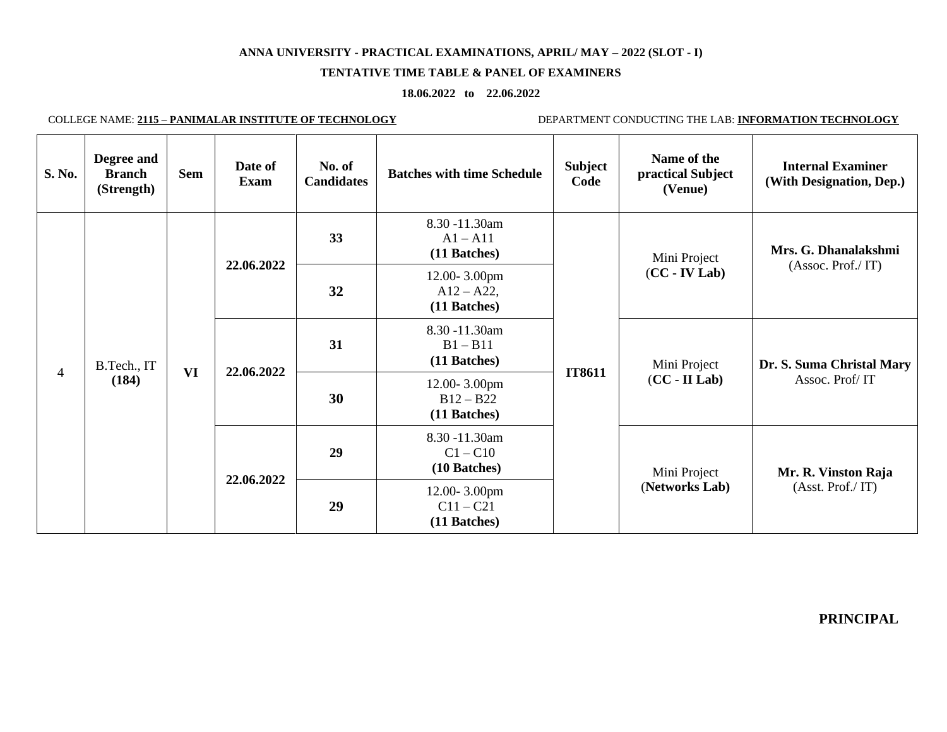### **TENTATIVE TIME TABLE & PANEL OF EXAMINERS**

### **18.06.2022 to 22.06.2022**

 $\blacksquare$ 

COLLEGE NAME: **2115 – PANIMALAR INSTITUTE OF TECHNOLOGY** DEPARTMENT CONDUCTING THE LAB: **INFORMATION TECHNOLOGY**

| S. No.         | Degree and<br><b>Branch</b><br>(Strength) | <b>Sem</b> | Date of<br><b>Exam</b> | No. of<br><b>Candidates</b> | <b>Batches with time Schedule</b>             | <b>Subject</b><br>Code                      | Name of the<br>practical Subject<br>(Venue) | <b>Internal Examiner</b><br>(With Designation, Dep.) |
|----------------|-------------------------------------------|------------|------------------------|-----------------------------|-----------------------------------------------|---------------------------------------------|---------------------------------------------|------------------------------------------------------|
| $\overline{4}$ |                                           |            |                        | 33                          | 8.30 -11.30am<br>$A1 - A11$<br>(11 Batches)   |                                             | Mini Project                                | Mrs. G. Dhanalakshmi<br>(Assoc. Prof./ IT)           |
|                |                                           |            | 22.06.2022             | 32                          | 12.00-3.00pm<br>$A12 - A22$ ,<br>(11 Batches) |                                             | $(CC - IV Lab)$                             |                                                      |
|                | B.Tech., IT                               |            | 22.06.2022             | 31                          | 8.30 -11.30am<br>$B1 - B11$<br>(11 Batches)   | <b>IT8611</b>                               | Mini Project                                | Dr. S. Suma Christal Mary                            |
|                | (184)                                     | <b>VI</b>  |                        | 30                          | 12.00-3.00pm<br>$B12 - B22$<br>(11 Batches)   |                                             | $(CC - II Lab)$                             | Assoc. Prof/IT                                       |
|                |                                           |            |                        | 29                          | 8.30 -11.30am<br>$C1 - C10$<br>(10 Batches)   |                                             | Mini Project                                | Mr. R. Vinston Raja                                  |
|                |                                           |            | 22.06.2022             |                             | 29                                            | 12.00-3.00pm<br>$C11 - C21$<br>(11 Batches) |                                             | (Networks Lab)                                       |

**PRINCIPAL**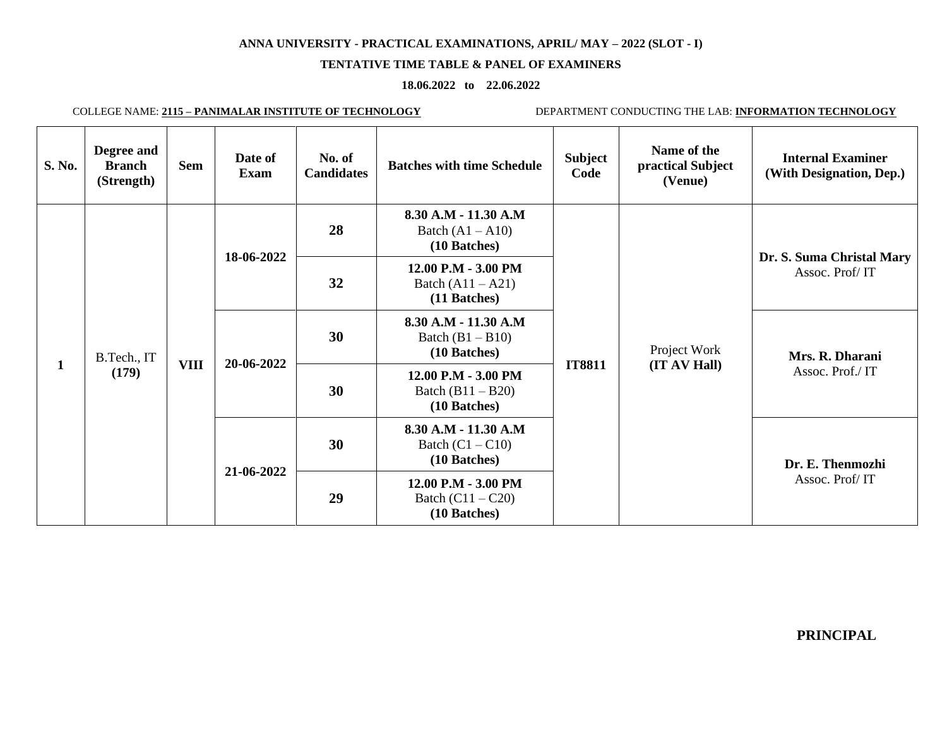# **TENTATIVE TIME TABLE & PANEL OF EXAMINERS**

### **18.06.2022 to 22.06.2022**

COLLEGE NAME: **2115 – PANIMALAR INSTITUTE OF TECHNOLOGY** DEPARTMENT CONDUCTING THE LAB: **INFORMATION TECHNOLOGY**

| S. No.       | Degree and<br><b>Branch</b><br>(Strength) | <b>Sem</b>  | Date of<br>Exam          | No. of<br><b>Candidates</b> | <b>Batches with time Schedule</b>                          | <b>Subject</b><br>Code | Name of the<br>practical Subject<br>(Venue) | <b>Internal Examiner</b><br>(With Designation, Dep.) |                                                            |
|--------------|-------------------------------------------|-------------|--------------------------|-----------------------------|------------------------------------------------------------|------------------------|---------------------------------------------|------------------------------------------------------|------------------------------------------------------------|
|              | B.Tech., IT<br>(179)                      | <b>VIII</b> | 18-06-2022<br>20-06-2022 | 28                          | 8.30 A.M - 11.30 A.M<br>Batch $(A1 - A10)$<br>(10 Batches) |                        | Project Work<br>(IT AV Hall)                | Dr. S. Suma Christal Mary<br>Assoc. Prof/IT          |                                                            |
|              |                                           |             |                          | 32                          | 12.00 P.M - 3.00 PM<br>Batch $(A11 - A21)$<br>(11 Batches) |                        |                                             |                                                      |                                                            |
|              |                                           |             |                          | 30                          | 8.30 A.M - 11.30 A.M<br>Batch $(B1 - B10)$<br>(10 Batches) |                        |                                             | Mrs. R. Dharani<br>Assoc. Prof./IT                   |                                                            |
| $\mathbf{1}$ |                                           |             |                          | 30                          | 12.00 P.M - 3.00 PM<br>Batch $(B11 - B20)$<br>(10 Batches) | <b>IT8811</b>          |                                             |                                                      |                                                            |
|              |                                           |             |                          | 30                          | 8.30 A.M - 11.30 A.M<br>Batch $(C1 - C10)$<br>(10 Batches) |                        |                                             | Dr. E. Thenmozhi                                     |                                                            |
|              |                                           |             |                          |                             |                                                            |                        |                                             | 21-06-2022<br>29                                     | 12.00 P.M - 3.00 PM<br>Batch $(C11 - C20)$<br>(10 Batches) |

 **PRINCIPAL**